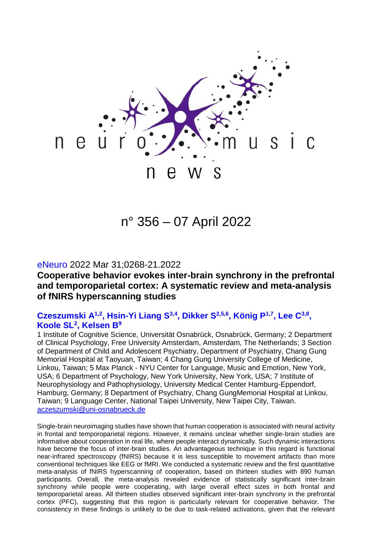

n° 356 – 07 April 2022

#### eNeuro 2022 Mar 31;0268-21.2022

## **Cooperative behavior evokes inter-brain synchrony in the prefrontal and temporoparietal cortex: A systematic review and meta-analysis of fNIRS hyperscanning studies**

## **Czeszumski A1,2, Hsin-Yi Liang S3,4 , Dikker S 2,5,6 , König P 1,7 , Lee C3,8 , Koole SL<sup>2</sup> , Kelsen B<sup>9</sup>**

1 Institute of Cognitive Science, Universität Osnabrück, Osnabrück, Germany; 2 Department of Clinical Psychology, Free University Amsterdam, Amsterdam, The Netherlands; 3 Section of Department of Child and Adolescent Psychiatry, Department of Psychiatry, Chang Gung Memorial Hospital at Taoyuan, Taiwan; 4 Chang Gung University College of Medicine, Linkou, Taiwan; 5 Max Planck - NYU Center for Language, Music and Emotion, New York, USA; 6 Department of Psychology, New York University, New York, USA; 7 Institute of Neurophysiology and Pathophysiology, University Medical Center Hamburg-Eppendorf, Hamburg, Germany; 8 Department of Psychiatry, Chang GungMemorial Hospital at Linkou, Taiwan; 9 Language Center, National Taipei University, New Taipei City, Taiwan. [aczeszumski@uni-osnabrueck.de](mailto:aczeszumski@uni-osnabrueck.de)

Single-brain neuroimaging studies have shown that human cooperation is associated with neural activity in frontal and temporoparietal regions. However, it remains unclear whether single-brain studies are informative about cooperation in real life, where people interact dynamically. Such dynamic interactions have become the focus of inter-brain studies. An advantageous technique in this regard is functional near-infrared spectroscopy (fNIRS) because it is less susceptible to movement artifacts than more conventional techniques like EEG or fMRI. We conducted a systematic review and the first quantitative meta-analysis of fNIRS hyperscanning of cooperation, based on thirteen studies with 890 human participants. Overall, the meta-analysis revealed evidence of statistically significant inter-brain synchrony while people were cooperating, with large overall effect sizes in both frontal and temporoparietal areas. All thirteen studies observed significant inter-brain synchrony in the prefrontal cortex (PFC), suggesting that this region is particularly relevant for cooperative behavior. The consistency in these findings is unlikely to be due to task-related activations, given that the relevant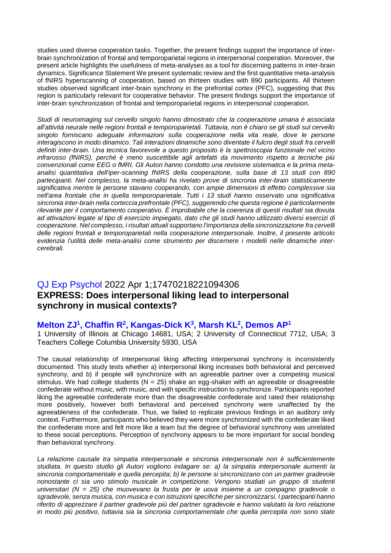studies used diverse cooperation tasks. Together, the present findings support the importance of interbrain synchronization of frontal and temporoparietal regions in interpersonal cooperation. Moreover, the present article highlights the usefulness of meta-analyses as a tool for discerning patterns in inter-brain dynamics. Significance Statement We present systematic review and the first quantitative meta-analysis of fNIRS hyperscanning of cooperation, based on thirteen studies with 890 participants. All thirteen studies observed significant inter-brain synchrony in the prefrontal cortex (PFC), suggesting that this region is particularly relevant for cooperative behavior. The present findings support the importance of inter-brain synchronization of frontal and temporoparietal regions in interpersonal cooperation.

*Studi di neuroimaging sul cervello singolo hanno dimostrato che la cooperazione umana è associata all'attività neurale nelle regioni frontali e temporoparietali. Tuttavia, non è chiaro se gli studi sul cervello singolo forniscano adeguate informazioni sulla cooperazione nella vita reale, dove le persone interagiscono in modo dinamico. Tali interazioni dinamiche sono diventate il fulcro degli studi fra cervelli definiti inter-brain. Una tecnica favorevole a questo proposito è la spettroscopia funzionale nel vicino infrarosso (fNIRS), perché è meno suscettibile agli artefatti da movimento rispetto a tecniche più convenzionali come EEG o fMRI. Gli Autori hanno condotto una revisione sistematica e la prima metaanalisi quantitativa dell'iper-scanning fNIRS della cooperazione, sulla base di 13 studi con 890 partecipanti. Nel complesso, la meta-analisi ha rivelato prove di sincronia inter-brain statisticamente significativa mentre le persone stavano cooperando, con ampie dimensioni di effetto complessive sia nell'area frontale che in quella temporoparietale. Tutti i 13 studi hanno osservato una significativa sincronia inter-brain nella corteccia prefrontale (PFC), suggerendo che questa regione è particolarmente rilevante per il comportamento cooperativo. È improbabile che la coerenza di questi risultati sia dovuta ad attivazioni legate al tipo di esercizio impiegato, dato che gli studi hanno utilizzato diversi esercizi di cooperazione. Nel complesso, i risultati attuali supportano l'importanza della sincronizzazione fra cervelli delle regioni frontali e temporoparietali nella cooperazione interpersonale. Inoltre, il presente articolo evidenzia l'utilità delle meta-analisi come strumento per discernere i modelli nelle dinamiche intercerebrali.*

# QJ Exp Psychol 2022 Apr 1;17470218221094306 **EXPRESS: Does interpersonal liking lead to interpersonal synchrony in musical contexts?**

#### **Melton ZJ<sup>1</sup> , Chaffin R<sup>2</sup> , Kangas-Dick K<sup>3</sup> , Marsh KL<sup>2</sup> , Demos AP<sup>1</sup>**

1 University of Illinois at Chicago 14681, USA; 2 University of Connecticut 7712, USA; 3 Teachers College Columbia University 5930, USA

The causal relationship of interpersonal liking affecting interpersonal synchrony is inconsistently documented. This study tests whether a) interpersonal liking increases both behavioral and perceived synchrony, and b) if people will synchronize with an agreeable partner over a competing musical stimulus. We had college students  $(N = 25)$  shake an egg-shaker with an agreeable or disagreeable confederate without music, with music, and with specific instruction to synchronize. Participants reported liking the agreeable confederate more than the disagreeable confederate and rated their relationship more positively, however both behavioral and perceived synchrony were unaffected by the agreeableness of the confederate. Thus, we failed to replicate previous findings in an auditory only context. Furthermore, participants who believed they were more synchronized with the confederate liked the confederate more and felt more like a team but the degree of behavioral synchrony was unrelated to these social perceptions. Perception of synchrony appears to be more important for social bonding than behavioral synchrony.

*La relazione causale tra simpatia interpersonale e sincronia interpersonale non è sufficientemente studiata. In questo studio gli Autori vogliono indagare se: a) la simpatia interpersonale aumenti la sincronia comportamentale e quella percepita; b) le persone si sincronizzano con un partner gradevole nonostante ci sia uno stimolo musicale in competizione. Vengono studiati un gruppo di studenti universitari (N = 25) che muovevano la frusta per le uova insieme a un compagno gradevole o sgradevole, senza musica, con musica e con istruzioni specifiche per sincronizzarsi. I partecipanti hanno riferito di apprezzare il partner gradevole più del partner sgradevole e hanno valutato la loro relazione in modo più positivo, tuttavia sia la sincronia comportamentale che quella percepita non sono state*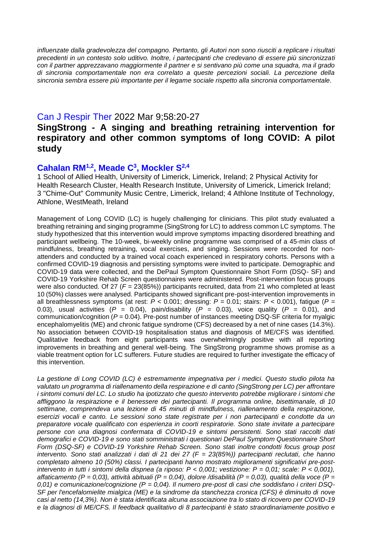*influenzate dalla gradevolezza del compagno. Pertanto, gli Autori non sono riusciti a replicare i risultati precedenti in un contesto solo uditivo. Inoltre, i partecipanti che credevano di essere più sincronizzati con il partner apprezzavano maggiormente il partner e si sentivano più come una squadra, ma il grado di sincronia comportamentale non era correlato a queste percezioni sociali. La percezione della sincronia sembra essere più importante per il legame sociale rispetto alla sincronia comportamentale.*

#### Can J Respir Ther 2022 Mar 9;58:20-27

## **SingStrong - A singing and breathing retraining intervention for respiratory and other common symptoms of long COVID: A pilot study**

### **Cahalan RM1,2, Meade C<sup>3</sup> , Mockler S 2,4**

1 School of Allied Health, University of Limerick, Limerick, Ireland; 2 Physical Activity for Health Research Cluster, Health Research Institute, University of Limerick, Limerick Ireland; 3 "Chime-Out" Community Music Centre, Limerick, Ireland; 4 Athlone Institute of Technology, Athlone, WestMeath, Ireland

Management of Long COVID (LC) is hugely challenging for clinicians. This pilot study evaluated a breathing retraining and singing programme (SingStrong for LC) to address common LC symptoms. The study hypothesized that this intervention would improve symptoms impacting disordered breathing and participant wellbeing. The 10-week, bi-weekly online programme was comprised of a 45-min class of mindfulness, breathing retraining, vocal exercises, and singing. Sessions were recorded for nonattenders and conducted by a trained vocal coach experienced in respiratory cohorts. Persons with a confirmed COVID-19 diagnosis and persisting symptoms were invited to participate. Demographic and COVID-19 data were collected, and the DePaul Symptom Questionnaire Short Form (DSQ- SF) and COVID-19 Yorkshire Rehab Screen questionnaires were administered. Post-intervention focus groups were also conducted. Of 27 ( $F = 23(85%)$ ) participants recruited, data from 21 who completed at least 10 (50%) classes were analysed. Participants showed significant pre-post-intervention improvements in all breathlessness symptoms (at rest: *P* < 0.001; dressing: *P* = 0.01; stairs: *P* < 0.001), fatigue (*P* = 0.03), usual activities ( $P = 0.04$ ), pain/disability ( $P = 0.03$ ), voice quality ( $P = 0.01$ ), and communication/cognition (*P* = 0.04). Pre-post number of instances meeting DSQ-SF criteria for myalgic encephalomyelitis (ME) and chronic fatigue syndrome (CFS) decreased by a net of nine cases (14.3%). No association between COVID-19 hospitalisation status and diagnosis of ME/CFS was identified. Qualitative feedback from eight participants was overwhelmingly positive with all reporting improvements in breathing and general well-being. The SingStrong programme shows promise as a viable treatment option for LC sufferers. Future studies are required to further investigate the efficacy of this intervention.

*La gestione di Long COVID (LC) è estremamente impegnativa per i medici. Questo studio pilota ha valutato un programma di riallenamento della respirazione e di canto (SingStrong per LC) per affrontare i sintomi comuni del LC. Lo studio ha ipotizzato che questo intervento potrebbe migliorare i sintomi che affliggono la respirazione e il benessere dei partecipanti. Il programma online, bisettimanale, di 10 settimane, comprendeva una lezione di 45 minuti di mindfulness, riallenamento della respirazione, esercizi vocali e canto. Le sessioni sono state registrate per i non partecipanti e condotte da un preparatore vocale qualificato con esperienza in coorti respiratorie. Sono state invitate a partecipare persone con una diagnosi confermata di COVID-19 e sintomi persistenti. Sono stati raccolti dati demografici e COVID-19 e sono stati somministrati i questionari DePaul Symptom Questionnaire Short Form (DSQ-SF) e COVID-19 Yorkshire Rehab Screen. Sono stati inoltre condotti focus group post intervento. Sono stati analizzati i dati di 21 dei 27 (F = 23(85%)) partecipanti reclutati, che hanno completato almeno 10 (50%) classi. I partecipanti hanno mostrato miglioramenti significativi pre-postintervento in tutti i sintomi della dispnea (a riposo: P < 0,001; vestizione: P = 0,01; scale: P < 0,001), affaticamento (P = 0,03), attività abituali (P = 0,04), dolore /disabilità (P = 0,03), qualità della voce (P = 0,01) e comunicazione/cognizione (P = 0,04). Il numero pre-post di casi che soddisfano i criteri DSQ-SF per l'encefalomielite mialgica (ME) e la sindrome da stanchezza cronica (CFS) è diminuito di nove casi al netto (14,3%). Non è stata identificata alcuna associazione tra lo stato di ricovero per COVID-19 e la diagnosi di ME/CFS. Il feedback qualitativo di 8 partecipanti è stato straordinariamente positivo e*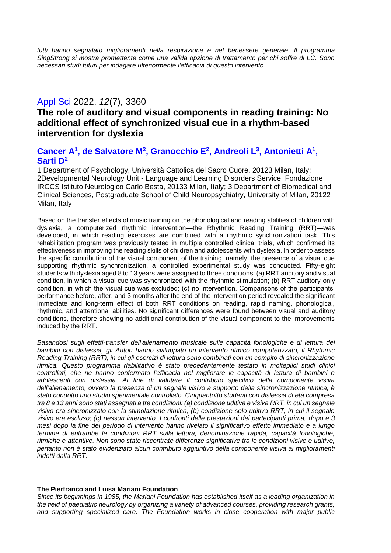*tutti hanno segnalato miglioramenti nella respirazione e nel benessere generale. Il programma SingStrong si mostra promettente come una valida opzione di trattamento per chi soffre di LC. Sono necessari studi futuri per indagare ulteriormente l'efficacia di questo intervento.* 

## Appl Sci 2022, *12*(7), 3360

## **The role of auditory and visual components in reading training: No additional effect of synchronized visual cue in a rhythm-based intervention for dyslexia**

### **Cancer A<sup>1</sup> , de Salvatore M<sup>2</sup> , Granocchio E 2 , Andreoli L 3 , Antonietti A<sup>1</sup> , Sarti D<sup>2</sup>**

1 Department of Psychology, Università Cattolica del Sacro Cuore, 20123 Milan, Italy; 2Developmental Neurology Unit - Language and Learning Disorders Service, Fondazione IRCCS Istituto Neurologico Carlo Besta, 20133 Milan, Italy; 3 Department of Biomedical and Clinical Sciences, Postgraduate School of Child Neuropsychiatry, University of Milan, 20122 Milan, Italy

Based on the transfer effects of music training on the phonological and reading abilities of children with dyslexia, a computerized rhythmic intervention—the Rhythmic Reading Training (RRT)—was developed, in which reading exercises are combined with a rhythmic synchronization task. This rehabilitation program was previously tested in multiple controlled clinical trials, which confirmed its effectiveness in improving the reading skills of children and adolescents with dyslexia. In order to assess the specific contribution of the visual component of the training, namely, the presence of a visual cue supporting rhythmic synchronization, a controlled experimental study was conducted. Fifty-eight students with dyslexia aged 8 to 13 years were assigned to three conditions: (a) RRT auditory and visual condition, in which a visual cue was synchronized with the rhythmic stimulation; (b) RRT auditory-only condition, in which the visual cue was excluded; (c) no intervention. Comparisons of the participants' performance before, after, and 3 months after the end of the intervention period revealed the significant immediate and long-term effect of both RRT conditions on reading, rapid naming, phonological, rhythmic, and attentional abilities. No significant differences were found between visual and auditory conditions, therefore showing no additional contribution of the visual component to the improvements induced by the RRT.

*Basandosi sugli effetti-transfer dell'allenamento musicale sulle capacità fonologiche e di lettura dei bambini con dislessia, gli Autori hanno sviluppato un intervento ritmico computerizzato, il Rhythmic Reading Training (RRT), in cui gli esercizi di lettura sono combinati con un compito di sincronizzazione ritmica. Questo programma riabilitativo è stato precedentemente testato in molteplici studi clinici controllati, che ne hanno confermato l'efficacia nel migliorare le capacità di lettura di bambini e adolescenti con dislessia. Al fine di valutare il contributo specifico della componente visiva dell'allenamento, ovvero la presenza di un segnale visivo a supporto della sincronizzazione ritmica, è stato condotto uno studio sperimentale controllato. Cinquantotto studenti con dislessia di età compresa tra 8 e 13 anni sono stati assegnati a tre condizioni: (a) condizione uditiva e visiva RRT, in cui un segnale visivo era sincronizzato con la stimolazione ritmica; (b) condizione solo uditiva RRT, in cui il segnale visivo era escluso; (c) nessun intervento. I confronti delle prestazioni dei partecipanti prima, dopo e 3 mesi dopo la fine del periodo di intervento hanno rivelato il significativo effetto immediato e a lungo termine di entrambe le condizioni RRT sulla lettura, denominazione rapida, capacità fonologiche, ritmiche e attentive. Non sono state riscontrate differenze significative tra le condizioni visive e uditive, pertanto non è stato evidenziato alcun contributo aggiuntivo della componente visiva ai miglioramenti indotti dalla RRT.*

#### **The Pierfranco and Luisa Mariani Foundation**

*Since its beginnings in 1985, the Mariani Foundation has established itself as a leading organization in the field of paediatric neurology by organizing a variety of advanced courses, providing research grants, and supporting specialized care. The Foundation works in close cooperation with major public*